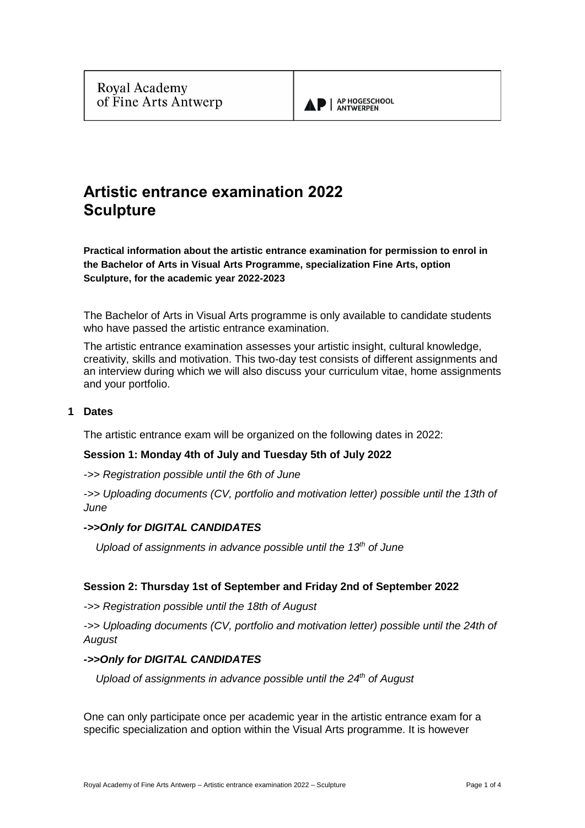

# **Artistic entrance examination 2022 Sculpture**

**Practical information about the artistic entrance examination for permission to enrol in the Bachelor of Arts in Visual Arts Programme, specialization Fine Arts, option Sculpture, for the academic year 2022-2023**

The Bachelor of Arts in Visual Arts programme is only available to candidate students who have passed the artistic entrance examination.

The artistic entrance examination assesses your artistic insight, cultural knowledge, creativity, skills and motivation. This two-day test consists of different assignments and an interview during which we will also discuss your curriculum vitae, home assignments and your portfolio.

## **1 Dates**

The artistic entrance exam will be organized on the following dates in 2022:

## **Session 1: Monday 4th of July and Tuesday 5th of July 2022**

*->> Registration possible until the 6th of June*

*->> Uploading documents (CV, portfolio and motivation letter) possible until the 13th of June*

#### *->>Only for DIGITAL CANDIDATES*

 *Upload of assignments in advance possible until the 13th of June*

## **Session 2: Thursday 1st of September and Friday 2nd of September 2022**

*->> Registration possible until the 18th of August*

->> Uploading documents (CV, portfolio and motivation letter) possible until the 24th of *August*

## *->>Only for DIGITAL CANDIDATES*

 *Upload of assignments in advance possible until the 24th of August*

One can only participate once per academic year in the artistic entrance exam for a specific specialization and option within the Visual Arts programme. It is however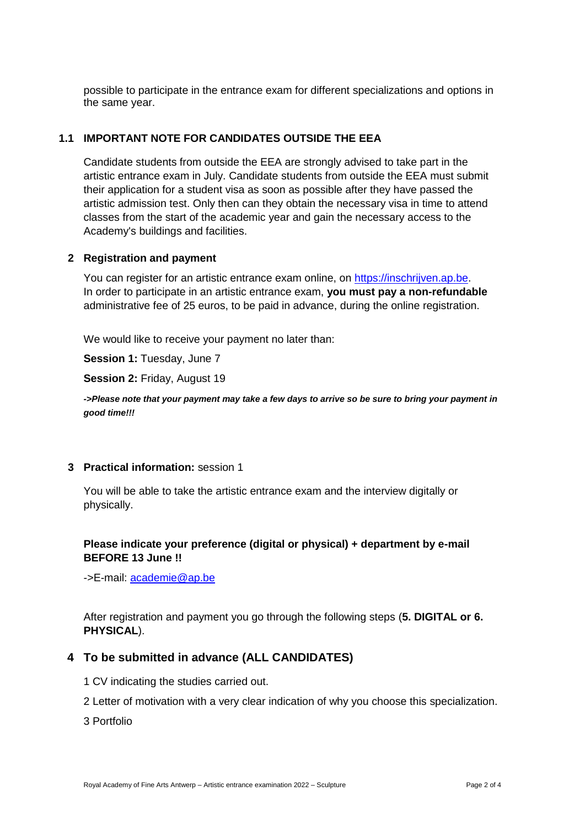possible to participate in the entrance exam for different specializations and options in the same year.

## **1.1 IMPORTANT NOTE FOR CANDIDATES OUTSIDE THE EEA**

Candidate students from outside the EEA are strongly advised to take part in the artistic entrance exam in July. Candidate students from outside the EEA must submit their application for a student visa as soon as possible after they have passed the artistic admission test. Only then can they obtain the necessary visa in time to attend classes from the start of the academic year and gain the necessary access to the Academy's buildings and facilities.

### **2 Registration and payment**

You can register for an artistic entrance exam online, on [https://inschrijven.ap.be.](https://inschrijven.ap.be/?Academiejaar=2020-21&SoortOpleiding=2&Taal=2) In order to participate in an artistic entrance exam, **you must pay a non-refundable** administrative fee of 25 euros, to be paid in advance, during the online registration.

We would like to receive your payment no later than:

**Session 1:** Tuesday, June 7

**Session 2:** Friday, August 19

*->Please note that your payment may take a few days to arrive so be sure to bring your payment in good time!!!*

#### **3 Practical information:** session 1

You will be able to take the artistic entrance exam and the interview digitally or physically.

## **Please indicate your preference (digital or physical) + department by e-mail BEFORE 13 June !!**

->E-mail:<academie@ap.be>

After registration and payment you go through the following steps (**5. DIGITAL or 6. PHYSICAL**).

## **4 To be submitted in advance (ALL CANDIDATES)**

- 1 CV indicating the studies carried out.
- 2 Letter of motivation with a very clear indication of why you choose this specialization.

3 Portfolio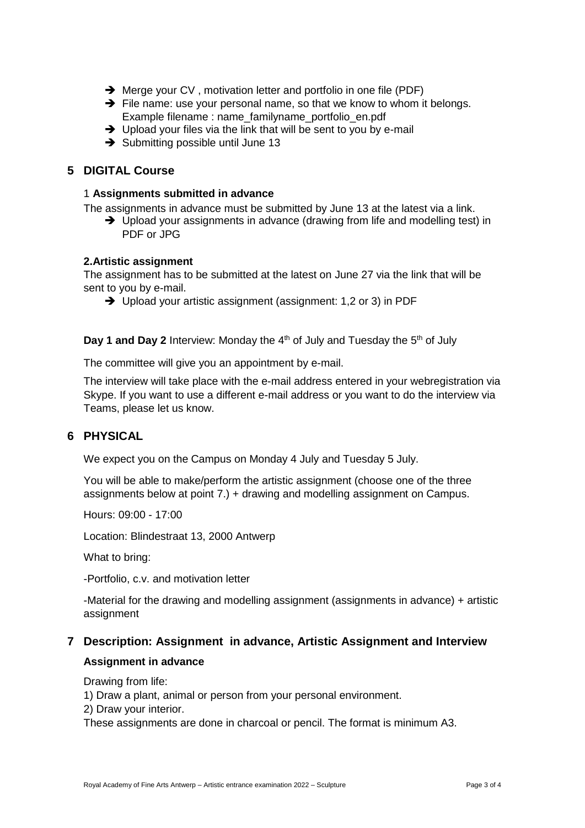- ➔ Merge your CV , motivation letter and portfolio in one file (PDF)
- ➔ File name: use your personal name, so that we know to whom it belongs. Example filename : name\_familyname\_portfolio\_en.pdf
- → Upload your files via the link that will be sent to you by e-mail
- **→** Submitting possible until June 13

# **5 DIGITAL Course**

## 1 **Assignments submitted in advance**

The assignments in advance must be submitted by June 13 at the latest via a link.

➔ Upload your assignments in advance (drawing from life and modelling test) in PDF or JPG

## **2.Artistic assignment**

The assignment has to be submitted at the latest on June 27 via the link that will be sent to you by e-mail.

➔ Upload your artistic assignment (assignment: 1,2 or 3) in PDF

**Day 1 and Day 2** Interview: Monday the 4<sup>th</sup> of July and Tuesday the 5<sup>th</sup> of July

The committee will give you an appointment by e-mail.

The interview will take place with the e-mail address entered in your webregistration via Skype. If you want to use a different e-mail address or you want to do the interview via Teams, please let us know.

# **6 PHYSICAL**

We expect you on the Campus on Monday 4 July and Tuesday 5 July.

You will be able to make/perform the artistic assignment (choose one of the three assignments below at point 7.) + drawing and modelling assignment on Campus.

Hours: 09:00 - 17:00

Location: Blindestraat 13, 2000 Antwerp

What to bring:

-Portfolio, c.v. and motivation letter

-Material for the drawing and modelling assignment (assignments in advance) + artistic assignment

# **7 Description: Assignment in advance, Artistic Assignment and Interview**

## **Assignment in advance**

Drawing from life:

1) Draw a plant, animal or person from your personal environment.

2) Draw your interior.

These assignments are done in charcoal or pencil. The format is minimum A3.